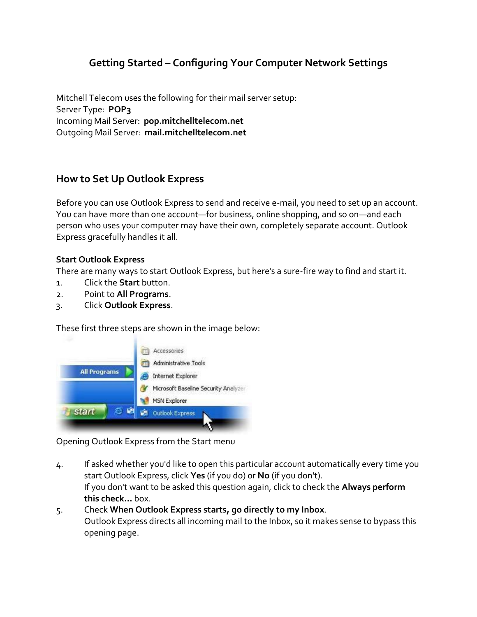# **Getting Started – Configuring Your Computer Network Settings**

Mitchell Telecom uses the following for their mail server setup: Server Type: **POP3** Incoming Mail Server: **pop.mitchelltelecom.net** Outgoing Mail Server: **mail.mitchelltelecom.net**

## **How to Set Up Outlook Express**

Before you can use Outlook Express to send and receive e-mail, you need to set up an account. You can have more than one account—for business, online shopping, and so on—and each person who uses your computer may have their own, completely separate account. Outlook Express gracefully handles it all.

#### **Start Outlook Express**

There are many ways to start Outlook Express, but here's a sure-fire way to find and start it.

- 1. Click the **Start** button.
- 2. Point to **All Programs**.
- 3. Click **Outlook Express**.

These first three steps are shown in the image below:



Opening Outlook Express from the Start menu

- 4. If asked whether you'd like to open this particular account automatically every time you start Outlook Express, click **Yes** (if you do) or **No** (if you don't). If you don't want to be asked this question again, click to check the **Always perform this check...** box.
- 5. Check **When Outlook Express starts, go directly to my Inbox**. Outlook Express directs all incoming mail to the Inbox, so it makes sense to bypass this opening page.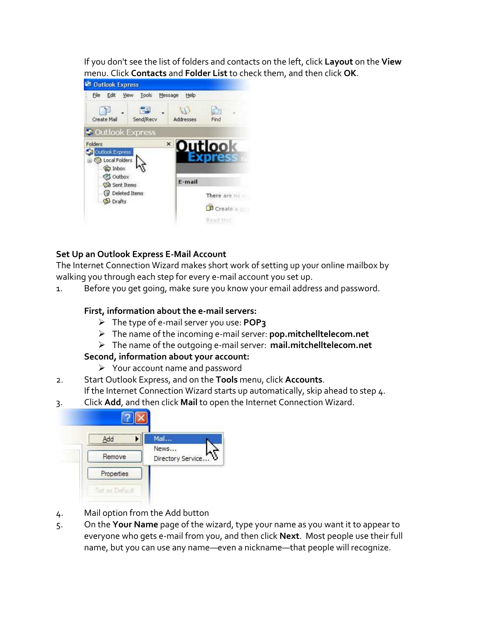If you don't see the list of folders and contacts on the left, click **Layout** on the **View** menu. Click **Contacts** and **Folder List** to check them, and then click **OK**.



## **Set Up an Outlook Express E-Mail Account**

The Internet Connection Wizard makes short work of setting up your online mailbox by walking you through each step for every e-mail account you set up.

1. Before you get going, make sure you know your email address and password.

#### **First, information about the e-mail servers:**

- The type of e-mail server you use: **POP3**
- The name of the incoming e-mail server: **pop.mitchelltelecom.net**
- The name of the outgoing e-mail server: **mail.mitchelltelecom.net**

#### **Second, information about your account:**

- Your account name and password
- 2. Start Outlook Express, and on the **Tools** menu, click **Accounts**. If the Internet Connection Wizard starts up automatically, skip ahead to step 4.
- 3. Click **Add**, and then click **Mail** to open the Internet Connection Wizard.

| Add        | Mail                      |
|------------|---------------------------|
| Remove     | News<br>Directory Service |
| Properties |                           |

- 4. Mail option from the Add button
- 5. On the **Your Name** page of the wizard, type your name as you want it to appear to everyone who gets e-mail from you, and then click **Next**. Most people use their full name, but you can use any name—even a nickname—that people will recognize.